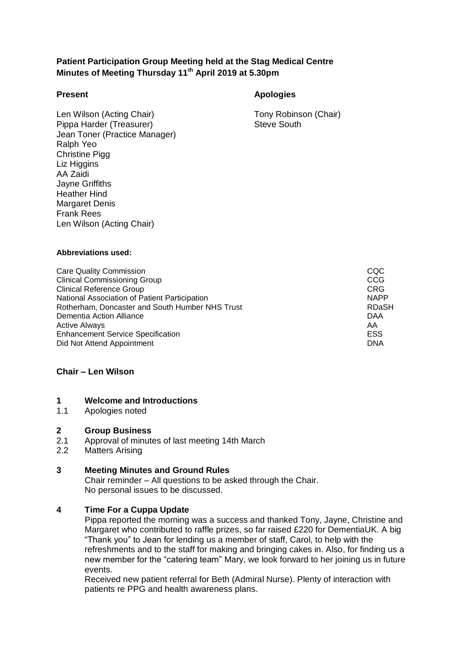# **Patient Participation Group Meeting held at the Stag Medical Centre Minutes of Meeting Thursday 11th April 2019 at 5.30pm**

## **Present Apologies**

Len Wilson (Acting Chair) Tony Robinson (Chair) Pippa Harder (Treasurer) Steve South Jean Toner (Practice Manager) Ralph Yeo Christine Pigg Liz Higgins AA Zaidi Jayne Griffiths Heather Hind Margaret Denis Frank Rees Len Wilson (Acting Chair)

#### **Abbreviations used:**

Care Quality Commission<br>Clinical Commissioning Group Clinical Commissioning Group Clinical Reference Group<br>
National Association of Patient Participation<br>
NAPP National Association of Patient Participation<br>
Rotherham Doncaster and South Humber NHS Trust<br>
ROTHER STRING ROASH Rotherham, Doncaster and South Humber NHS Trust Dementia Action Alliance **DAA** Active Always AA Enhancement Service Specification Did Not Attend Appointment **DNA** 

## **Chair – Len Wilson**

#### **1 Welcome and Introductions**

1.1 Apologies noted

#### **2 Group Business**

- 2.1 Approval of minutes of last meeting 14th March
- 2.2 Matters Arising

## **3 Meeting Minutes and Ground Rules**

Chair reminder – All questions to be asked through the Chair. No personal issues to be discussed.

## **4 Time For a Cuppa Update**

Pippa reported the morning was a success and thanked Tony, Jayne, Christine and Margaret who contributed to raffle prizes, so far raised £220 for DementiaUK. A big "Thank you" to Jean for lending us a member of staff, Carol, to help with the refreshments and to the staff for making and bringing cakes in. Also, for finding us a new member for the "catering team" Mary, we look forward to her joining us in future events.

Received new patient referral for Beth (Admiral Nurse). Plenty of interaction with patients re PPG and health awareness plans.